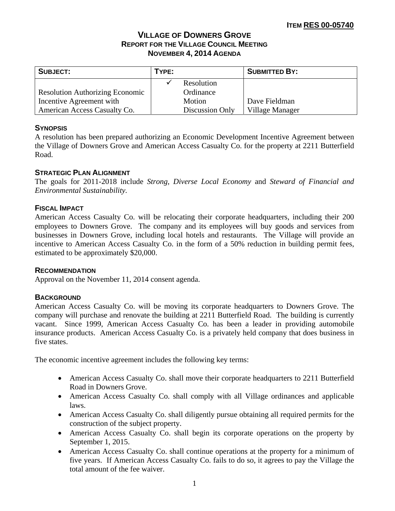# **VILLAGE OF DOWNERS GROVE REPORT FOR THE VILLAGE COUNCIL MEETING NOVEMBER 4, 2014 AGENDA**

| <b>SUBJECT:</b>                        | TYPE: |                 | <b>SUBMITTED BY:</b> |
|----------------------------------------|-------|-----------------|----------------------|
|                                        |       | Resolution      |                      |
| <b>Resolution Authorizing Economic</b> |       | Ordinance       |                      |
| Incentive Agreement with               |       | Motion          | Dave Fieldman        |
| American Access Casualty Co.           |       | Discussion Only | Village Manager      |

# **SYNOPSIS**

A resolution has been prepared authorizing an Economic Development Incentive Agreement between the Village of Downers Grove and American Access Casualty Co. for the property at 2211 Butterfield Road.

# **STRATEGIC PLAN ALIGNMENT**

The goals for 2011-2018 include *Strong, Diverse Local Economy* and *Steward of Financial and Environmental Sustainability.* 

# **FISCAL IMPACT**

American Access Casualty Co. will be relocating their corporate headquarters, including their 200 employees to Downers Grove. The company and its employees will buy goods and services from businesses in Downers Grove, including local hotels and restaurants. The Village will provide an incentive to American Access Casualty Co. in the form of a 50% reduction in building permit fees, estimated to be approximately \$20,000.

## **RECOMMENDATION**

Approval on the November 11, 2014 consent agenda.

# **BACKGROUND**

American Access Casualty Co. will be moving its corporate headquarters to Downers Grove. The company will purchase and renovate the building at 2211 Butterfield Road. The building is currently vacant. Since 1999, American Access Casualty Co. has been a leader in providing automobile insurance products. American Access Casualty Co. is a privately held company that does business in five states.

The economic incentive agreement includes the following key terms:

- American Access Casualty Co. shall move their corporate headquarters to 2211 Butterfield Road in Downers Grove.
- American Access Casualty Co. shall comply with all Village ordinances and applicable laws.
- American Access Casualty Co. shall diligently pursue obtaining all required permits for the construction of the subject property.
- American Access Casualty Co. shall begin its corporate operations on the property by September 1, 2015.
- American Access Casualty Co. shall continue operations at the property for a minimum of five years. If American Access Casualty Co. fails to do so, it agrees to pay the Village the total amount of the fee waiver.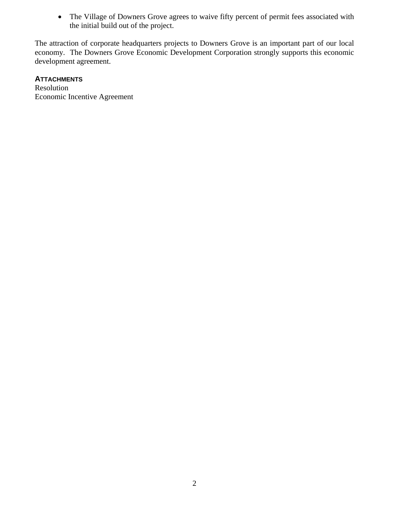The Village of Downers Grove agrees to waive fifty percent of permit fees associated with the initial build out of the project.

The attraction of corporate headquarters projects to Downers Grove is an important part of our local economy. The Downers Grove Economic Development Corporation strongly supports this economic development agreement.

# **ATTACHMENTS**

Resolution Economic Incentive Agreement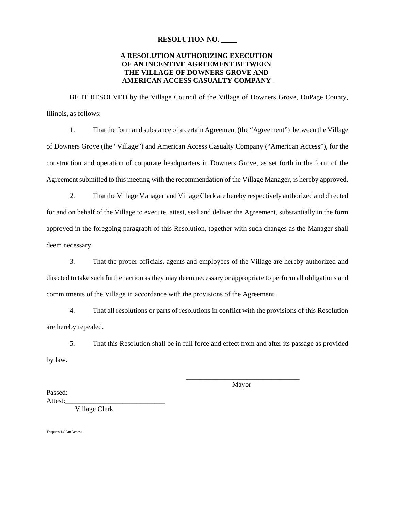#### **RESOLUTION NO.**

## **A RESOLUTION AUTHORIZING EXECUTION OF AN INCENTIVE AGREEMENT BETWEEN THE VILLAGE OF DOWNERS GROVE AND AMERICAN ACCESS CASUALTY COMPANY**

BE IT RESOLVED by the Village Council of the Village of Downers Grove, DuPage County, Illinois, as follows:

1. That the form and substance of a certain Agreement (the "Agreement") between the Village of Downers Grove (the "Village") and American Access Casualty Company ("American Access"), for the construction and operation of corporate headquarters in Downers Grove, as set forth in the form of the Agreement submitted to this meeting with the recommendation of the Village Manager, is hereby approved.

2. That the Village Manager and Village Clerk are hereby respectively authorized and directed for and on behalf of the Village to execute, attest, seal and deliver the Agreement, substantially in the form approved in the foregoing paragraph of this Resolution, together with such changes as the Manager shall deem necessary.

3. That the proper officials, agents and employees of the Village are hereby authorized and directed to take such further action as they may deem necessary or appropriate to perform all obligations and commitments of the Village in accordance with the provisions of the Agreement.

4. That all resolutions or parts of resolutions in conflict with the provisions of this Resolution are hereby repealed.

5. That this Resolution shall be in full force and effect from and after its passage as provided by law.

> \_\_\_\_\_\_\_\_\_\_\_\_\_\_\_\_\_\_\_\_\_\_\_\_\_\_\_\_\_\_\_\_ Mayor

Passed: Attest:

Village Clerk

1\wp\res.14\AmAccess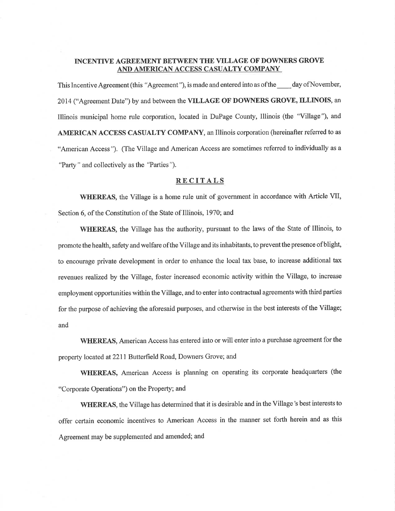### INCENTIVE AGREEMENT BETWEEN THE VILLAGE OF DOWNERS GROVE AND AMERICAN ACCESS CASUALTY COMPANY

This Incentive Agreement (this "Agreement"), is made and entered into as of the day of November, 2014 ("Agreement Date") by and between the VILLAGE OF DOWNERS GROVE, ILLINOIS, an Illinois municipal home rule corporation, located in DuPage County, Illinois (the "Village"), and AMERICAN ACCESS CASUALTY COMPANY, an Illinois corporation (hereinafter referred to as "American Access"). (The Village and American Access are sometimes referred to individually as a "Party" and collectively as the "Parties").

#### **RECITALS**

WHEREAS, the Village is a home rule unit of government in accordance with Article VII, Section 6, of the Constitution of the State of Illinois, 1970; and

**WHEREAS**, the Village has the authority, pursuant to the laws of the State of Illinois, to promote the health, safety and welfare of the Village and its inhabitants, to prevent the presence of blight, to encourage private development in order to enhance the local tax base, to increase additional tax revenues realized by the Village, foster increased economic activity within the Village, to increase employment opportunities within the Village, and to enter into contractual agreements with third parties for the purpose of achieving the aforesaid purposes, and otherwise in the best interests of the Village; and

WHEREAS, American Access has entered into or will enter into a purchase agreement for the property located at 2211 Butterfield Road, Downers Grove; and

WHEREAS, American Access is planning on operating its corporate headquarters (the "Corporate Operations") on the Property; and

WHEREAS, the Village has determined that it is desirable and in the Village's best interests to offer certain economic incentives to American Access in the manner set forth herein and as this Agreement may be supplemented and amended; and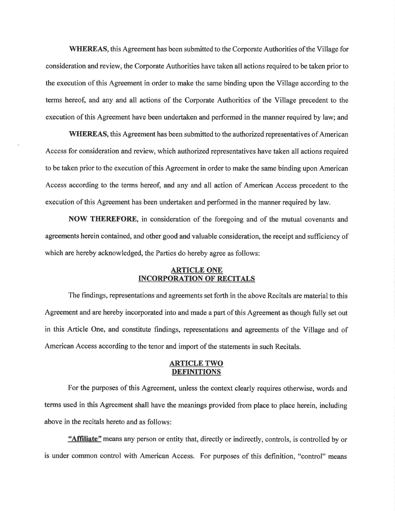WHEREAS, this Agreement has been submitted to the Corporate Authorities of the Village for consideration and review, the Corporate Authorities have taken all actions required to be taken prior to the execution of this Agreement in order to make the same binding upon the Village according to the terms hereof, and any and all actions of the Corporate Authorities of the Village precedent to the execution of this Agreement have been undertaken and performed in the manner required by law; and

**WHEREAS**, this Agreement has been submitted to the authorized representatives of American Access for consideration and review, which authorized representatives have taken all actions required to be taken prior to the execution of this Agreement in order to make the same binding upon American Access according to the terms hereof, and any and all action of American Access precedent to the execution of this Agreement has been undertaken and performed in the manner required by law.

NOW THEREFORE, in consideration of the foregoing and of the mutual covenants and agreements herein contained, and other good and valuable consideration, the receipt and sufficiency of which are hereby acknowledged, the Parties do hereby agree as follows:

### **ARTICLE ONE INCORPORATION OF RECITALS**

The findings, representations and agreements set forth in the above Recitals are material to this Agreement and are hereby incorporated into and made a part of this Agreement as though fully set out in this Article One, and constitute findings, representations and agreements of the Village and of American Access according to the tenor and import of the statements in such Recitals.

#### <u>ARTICLE TWO</u> **DEFINITIONS**

For the purposes of this Agreement, unless the context clearly requires otherwise, words and terms used in this Agreement shall have the meanings provided from place to place herein, including above in the recitals hereto and as follows:

"Affiliate" means any person or entity that, directly or indirectly, controls, is controlled by or is under common control with American Access. For purposes of this definition, "control" means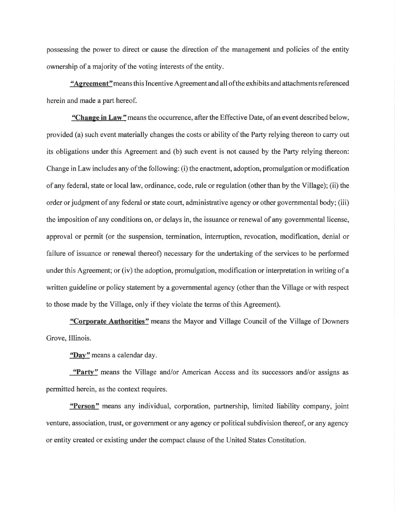possessing the power to direct or cause the direction of the management and policies of the entity ownership of a majority of the voting interests of the entity.

"Agreement" means this Incentive Agreement and all of the exhibits and attachments referenced herein and made a part hereof.

"Change in Law" means the occurrence, after the Effective Date, of an event described below, provided (a) such event materially changes the costs or ability of the Party relying thereon to carry out its obligations under this Agreement and (b) such event is not caused by the Party relying thereon: Change in Law includes any of the following: (i) the enactment, adoption, promulgation or modification of any federal, state or local law, ordinance, code, rule or regulation (other than by the Village); (ii) the order or judgment of any federal or state court, administrative agency or other governmental body; (iii) the imposition of any conditions on, or delays in, the issuance or renewal of any governmental license, approval or permit (or the suspension, termination, interruption, revocation, modification, denial or failure of issuance or renewal thereof) necessary for the undertaking of the services to be performed under this Agreement; or (iv) the adoption, promulgation, modification or interpretation in writing of a written guideline or policy statement by a governmental agency (other than the Village or with respect to those made by the Village, only if they violate the terms of this Agreement).

"Corporate Authorities" means the Mayor and Village Council of the Village of Downers Grove, Illinois.

"Day" means a calendar day.

"Party" means the Village and/or American Access and its successors and/or assigns as permitted herein, as the context requires.

"Person" means any individual, corporation, partnership, limited liability company, joint venture, association, trust, or government or any agency or political subdivision thereof, or any agency or entity created or existing under the compact clause of the United States Constitution.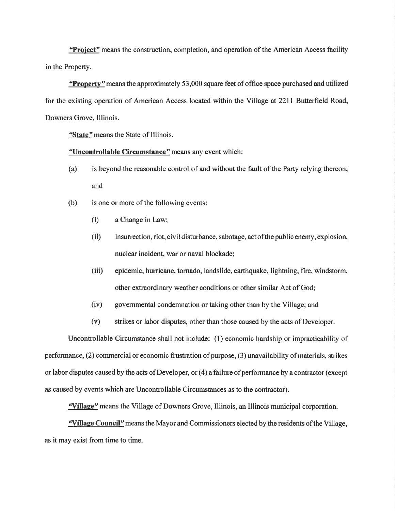"Project" means the construction, completion, and operation of the American Access facility in the Property.

**Property**" means the approximately 53,000 square feet of office space purchased and utilized for the existing operation of American Access located within the Village at 2211 Butterfield Road, Downers Grove, Illinois.

"State" means the State of Illinois.

## "Uncontrollable Circumstance" means any event which:

- is beyond the reasonable control of and without the fault of the Party relying thereon;  $(a)$ and
- is one or more of the following events:  $(b)$ 
	- $(i)$ a Change in Law;
	- insurrection, riot, civil disturbance, sabotage, act of the public enemy, explosion,  $(ii)$ nuclear incident, war or naval blockade;
	- $(iii)$ epidemic, hurricane, tornado, landslide, earthquake, lightning, fire, windstorm, other extraordinary weather conditions or other similar Act of God;
	- $(iv)$ governmental condemnation or taking other than by the Village; and
	- $(v)$ strikes or labor disputes, other than those caused by the acts of Developer.

Uncontrollable Circumstance shall not include: (1) economic hardship or impracticability of performance, (2) commercial or economic frustration of purpose, (3) unavailability of materials, strikes or labor disputes caused by the acts of Developer, or (4) a failure of performance by a contractor (except as caused by events which are Uncontrollable Circumstances as to the contractor).

"Village" means the Village of Downers Grove, Illinois, an Illinois municipal corporation.

"Village Council" means the Mayor and Commissioners elected by the residents of the Village, as it may exist from time to time.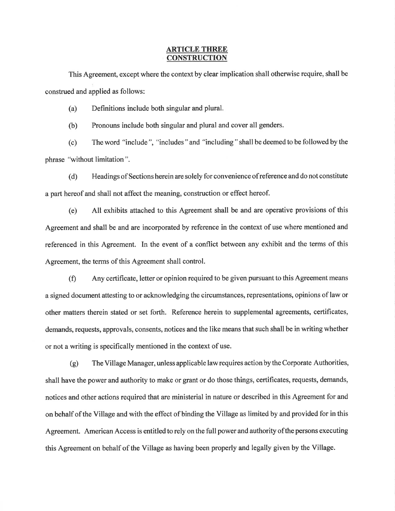#### **ARTICLE THREE CONSTRUCTION**

This Agreement, except where the context by clear implication shall otherwise require, shall be construed and applied as follows:

Definitions include both singular and plural. (a)

Pronouns include both singular and plural and cover all genders.  $(b)$ 

The word "include", "includes" and "including" shall be deemed to be followed by the  $(c)$ phrase "without limitation".

Headings of Sections herein are solely for convenience of reference and do not constitute  $(d)$ a part hereof and shall not affect the meaning, construction or effect hereof.

All exhibits attached to this Agreement shall be and are operative provisions of this  $(e)$ Agreement and shall be and are incorporated by reference in the context of use where mentioned and referenced in this Agreement. In the event of a conflict between any exhibit and the terms of this Agreement, the terms of this Agreement shall control.

 $(f)$ Any certificate, letter or opinion required to be given pursuant to this Agreement means a signed document attesting to or acknowledging the circumstances, representations, opinions of law or other matters therein stated or set forth. Reference herein to supplemental agreements, certificates, demands, requests, approvals, consents, notices and the like means that such shall be in writing whether or not a writing is specifically mentioned in the context of use.

 $(g)$ The Village Manager, unless applicable law requires action by the Corporate Authorities, shall have the power and authority to make or grant or do those things, certificates, requests, demands, notices and other actions required that are ministerial in nature or described in this Agreement for and on behalf of the Village and with the effect of binding the Village as limited by and provided for in this Agreement. American Access is entitled to rely on the full power and authority of the persons executing this Agreement on behalf of the Village as having been properly and legally given by the Village.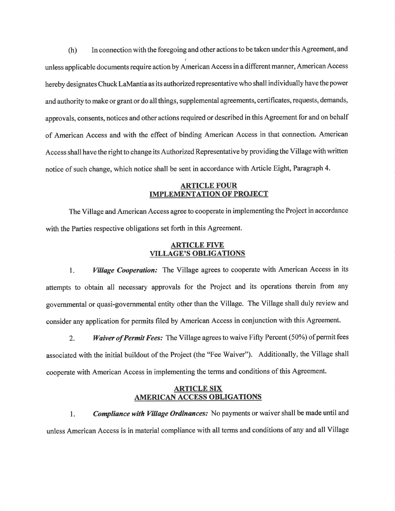In connection with the foregoing and other actions to be taken under this Agreement, and  $(h)$ unless applicable documents require action by American Access in a different manner, American Access hereby designates Chuck LaMantia as its authorized representative who shall individually have the power and authority to make or grant or do all things, supplemental agreements, certificates, requests, demands, approvals, consents, notices and other actions required or described in this Agreement for and on behalf of American Access and with the effect of binding American Access in that connection. American Access shall have the right to change its Authorized Representative by providing the Village with written notice of such change, which notice shall be sent in accordance with Article Eight, Paragraph 4.

#### **ARTICLE FOUR IMPLEMENTATION OF PROJECT**

The Village and American Access agree to cooperate in implementing the Project in accordance with the Parties respective obligations set forth in this Agreement.

### **ARTICLE FIVE VILLAGE'S OBLIGATIONS**

**Village Cooperation:** The Village agrees to cooperate with American Access in its 1. attempts to obtain all necessary approvals for the Project and its operations therein from any governmental or quasi-governmental entity other than the Village. The Village shall duly review and consider any application for permits filed by American Access in conjunction with this Agreement.

Waiver of Permit Fees: The Village agrees to waive Fifty Percent (50%) of permit fees  $2.$ associated with the initial buildout of the Project (the "Fee Waiver"). Additionally, the Village shall cooperate with American Access in implementing the terms and conditions of this Agreement.

## **ARTICLE SIX AMERICAN ACCESS OBLIGATIONS**

Compliance with Village Ordinances: No payments or waiver shall be made until and 1. unless American Access is in material compliance with all terms and conditions of any and all Village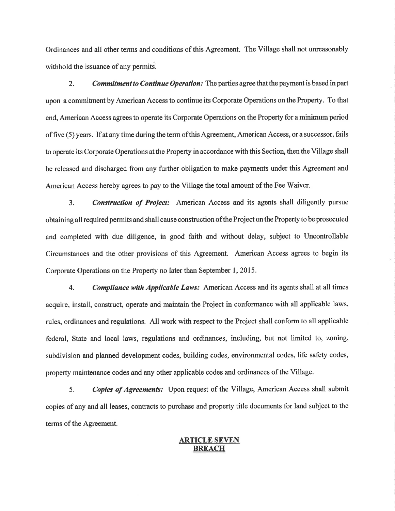Ordinances and all other terms and conditions of this Agreement. The Village shall not unreasonably withhold the issuance of any permits.

 $2.$ **Commitment to Continue Operation:** The parties agree that the payment is based in part upon a commitment by American Access to continue its Corporate Operations on the Property. To that end, American Access agrees to operate its Corporate Operations on the Property for a minimum period of five (5) years. If at any time during the term of this Agreement, American Access, or a successor, fails to operate its Corporate Operations at the Property in accordance with this Section, then the Village shall be released and discharged from any further obligation to make payments under this Agreement and American Access hereby agrees to pay to the Village the total amount of the Fee Waiver.

**Construction of Project:** American Access and its agents shall diligently pursue  $3.$ obtaining all required permits and shall cause construction of the Project on the Property to be prosecuted and completed with due diligence, in good faith and without delay, subject to Uncontrollable Circumstances and the other provisions of this Agreement. American Access agrees to begin its Corporate Operations on the Property no later than September 1, 2015.

Compliance with Applicable Laws: American Access and its agents shall at all times  $\overline{4}$ . acquire, install, construct, operate and maintain the Project in conformance with all applicable laws, rules, ordinances and regulations. All work with respect to the Project shall conform to all applicable federal, State and local laws, regulations and ordinances, including, but not limited to, zoning, subdivision and planned development codes, building codes, environmental codes, life safety codes, property maintenance codes and any other applicable codes and ordinances of the Village.

**Copies of Agreements:** Upon request of the Village, American Access shall submit 5. copies of any and all leases, contracts to purchase and property title documents for land subject to the terms of the Agreement.

## **ARTICLE SEVEN BREACH**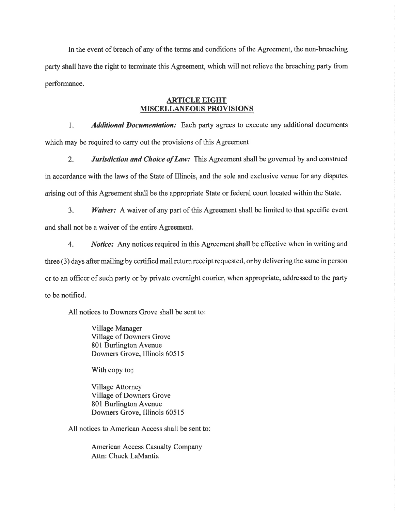In the event of breach of any of the terms and conditions of the Agreement, the non-breaching party shall have the right to terminate this Agreement, which will not relieve the breaching party from performance.

### **ARTICLE EIGHT MISCELLANEOUS PROVISIONS**

 $1.$ **Additional Documentation:** Each party agrees to execute any additional documents which may be required to carry out the provisions of this Agreement

 $2.$ **Jurisdiction and Choice of Law:** This Agreement shall be governed by and construed in accordance with the laws of the State of Illinois, and the sole and exclusive venue for any disputes arising out of this Agreement shall be the appropriate State or federal court located within the State.

 $3<sub>1</sub>$ **Waiver:** A waiver of any part of this Agreement shall be limited to that specific event and shall not be a waiver of the entire Agreement.

Notice: Any notices required in this Agreement shall be effective when in writing and 4. three (3) days after mailing by certified mail return receipt requested, or by delivering the same in person or to an officer of such party or by private overnight courier, when appropriate, addressed to the party to be notified.

All notices to Downers Grove shall be sent to:

**Village Manager** Village of Downers Grove 801 Burlington Avenue Downers Grove, Illinois 60515

With copy to:

**Village Attorney** Village of Downers Grove 801 Burlington Avenue Downers Grove, Illinois 60515

All notices to American Access shall be sent to:

American Access Casualty Company Attn: Chuck LaMantia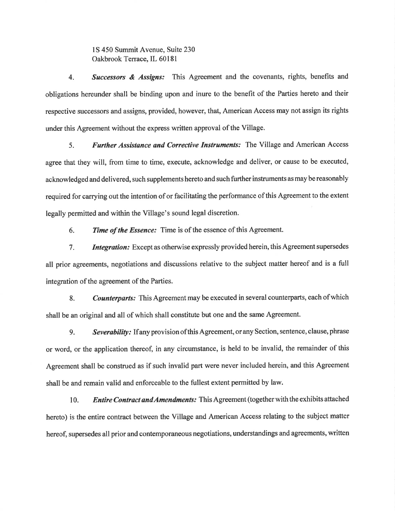1S 450 Summit Avenue, Suite 230 Oakbrook Terrace, IL 60181

**Successors & Assigns:** This Agreement and the covenants, rights, benefits and  $4<sub>1</sub>$ obligations hereunder shall be binding upon and inure to the benefit of the Parties hereto and their respective successors and assigns, provided, however, that, American Access may not assign its rights under this Agreement without the express written approval of the Village.

Further Assistance and Corrective Instruments: The Village and American Access  $5<sub>1</sub>$ agree that they will, from time to time, execute, acknowledge and deliver, or cause to be executed, acknowledged and delivered, such supplements hereto and such further instruments as may be reasonably required for carrying out the intention of or facilitating the performance of this Agreement to the extent legally permitted and within the Village's sound legal discretion.

Time of the Essence: Time is of the essence of this Agreement. 6.

Integration: Except as otherwise expressly provided herein, this Agreement supersedes  $7<sub>1</sub>$ all prior agreements, negotiations and discussions relative to the subject matter hereof and is a full integration of the agreement of the Parties.

**Counterparts:** This Agreement may be executed in several counterparts, each of which 8. shall be an original and all of which shall constitute but one and the same Agreement.

Severability: If any provision of this Agreement, or any Section, sentence, clause, phrase 9. or word, or the application thereof, in any circumstance, is held to be invalid, the remainder of this Agreement shall be construed as if such invalid part were never included herein, and this Agreement shall be and remain valid and enforceable to the fullest extent permitted by law.

10. **Entire Contract and Amendments:** This Agreement (together with the exhibits attached hereto) is the entire contract between the Village and American Access relating to the subject matter hereof, supersedes all prior and contemporaneous negotiations, understandings and agreements, written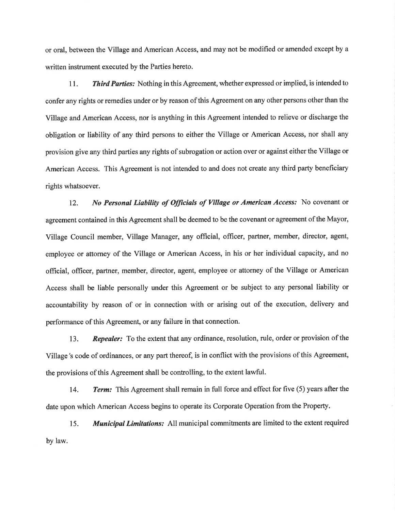or oral, between the Village and American Access, and may not be modified or amended except by a written instrument executed by the Parties hereto.

**Third Parties:** Nothing in this Agreement, whether expressed or implied, is intended to  $11.$ confer any rights or remedies under or by reason of this Agreement on any other persons other than the Village and American Access, nor is anything in this Agreement intended to relieve or discharge the obligation or liability of any third persons to either the Village or American Access, nor shall any provision give any third parties any rights of subrogation or action over or against either the Village or American Access. This Agreement is not intended to and does not create any third party beneficiary rights whatsoever.

No Personal Liability of Officials of Village or American Access: No covenant or 12. agreement contained in this Agreement shall be deemed to be the covenant or agreement of the Mayor, Village Council member, Village Manager, any official, officer, partner, member, director, agent, employee or attorney of the Village or American Access, in his or her individual capacity, and no official, officer, partner, member, director, agent, employee or attorney of the Village or American Access shall be liable personally under this Agreement or be subject to any personal liability or accountability by reason of or in connection with or arising out of the execution, delivery and performance of this Agreement, or any failure in that connection.

Repealer: To the extent that any ordinance, resolution, rule, order or provision of the 13. Village's code of ordinances, or any part thereof, is in conflict with the provisions of this Agreement, the provisions of this Agreement shall be controlling, to the extent lawful.

14. **Term:** This Agreement shall remain in full force and effect for five (5) years after the date upon which American Access begins to operate its Corporate Operation from the Property.

**Municipal Limitations:** All municipal commitments are limited to the extent required 15. by law.